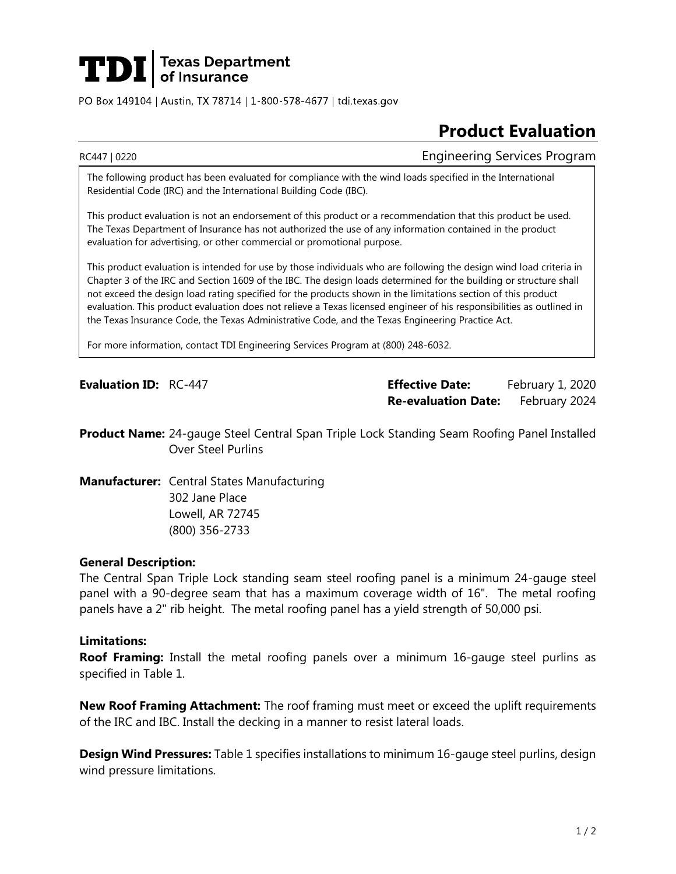# **TDI** Texas Department

PO Box 149104 | Austin, TX 78714 | 1-800-578-4677 | tdi.texas.gov

## **Product Evaluation**

RC447 | 0220 Engineering Services Program

The following product has been evaluated for compliance with the wind loads specified in the International Residential Code (IRC) and the International Building Code (IBC).

This product evaluation is not an endorsement of this product or a recommendation that this product be used. The Texas Department of Insurance has not authorized the use of any information contained in the product evaluation for advertising, or other commercial or promotional purpose.

This product evaluation is intended for use by those individuals who are following the design wind load criteria in Chapter 3 of the IRC and Section 1609 of the IBC. The design loads determined for the building or structure shall not exceed the design load rating specified for the products shown in the limitations section of this product evaluation. This product evaluation does not relieve a Texas licensed engineer of his responsibilities as outlined in the Texas Insurance Code, the Texas Administrative Code, and the Texas Engineering Practice Act.

For more information, contact TDI Engineering Services Program at (800) 248-6032.

**Evaluation ID:** RC-447 **Effective Date:** February 1, 2020 **Re-evaluation Date:** February 2024

**Product Name:** 24-gauge Steel Central Span Triple Lock Standing Seam Roofing Panel Installed Over Steel Purlins

**Manufacturer:** Central States Manufacturing 302 Jane Place Lowell, AR 72745 (800) 356-2733

### **General Description:**

The Central Span Triple Lock standing seam steel roofing panel is a minimum 24-gauge steel panel with a 90-degree seam that has a maximum coverage width of 16". The metal roofing panels have a 2" rib height. The metal roofing panel has a yield strength of 50,000 psi.

#### **Limitations:**

**Roof Framing:** Install the metal roofing panels over a minimum 16-gauge steel purlins as specified in Table 1.

**New Roof Framing Attachment:** The roof framing must meet or exceed the uplift requirements of the IRC and IBC. Install the decking in a manner to resist lateral loads.

**Design Wind Pressures:** Table 1 specifies installations to minimum 16-gauge steel purlins, design wind pressure limitations.